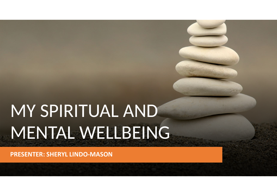# MY SPIRITUAL AND MENTAL WELLBEING

**PRESENTER: SHERYL LINDO-MASON**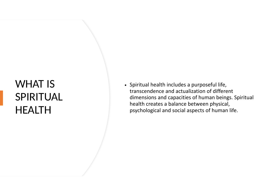#### WHAT IS SPIRITUAL HEALTH

• Spiritual health includes a purposeful life, transcendence and actualization of different dimensions and capacities of human beings. Spiritual health creates a balance between physical, psychological and social aspects of human life.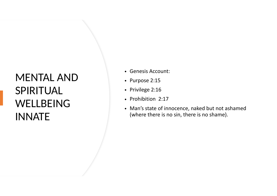#### MENTAL AND SPIRITUAL WELLBEING INNATE

- Genesis Account:
- Purpose 2:15
- Privilege 2:16
- Prohibition 2:17
- Man's state of innocence, naked but not ashamed (where there is no sin, there is no shame).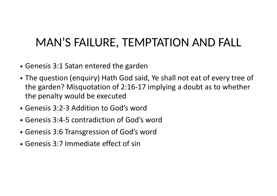## MAN'S FAILURE, TEMPTATION AND FALL

- Genesis 3:1 Satan entered the garden
- The question (enquiry) Hath God said, Ye shall not eat of every tree of the garden? Misquotation of 2:16-17 implying a doubt as to whether the penalty would be executed
- Genesis 3:2-3 Addition to God's word
- Genesis 3:4-5 contradiction of God's word
- Genesis 3:6 Transgression of God's word
- Genesis 3:7 Immediate effect of sin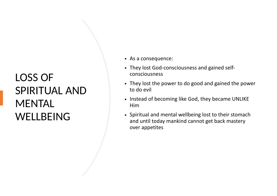### LOSS OF SPIRITUAL AND **MENTAL** WELLBEING

- As a consequence:
- They lost God-consciousness and gained selfconsciousness
- They lost the power to do good and gained the power to do evil
- Instead of becoming like God, they became UNLIKE Him
- Spiritual and mental wellbeing lost to their stomach and until today mankind cannot get back mastery over appetites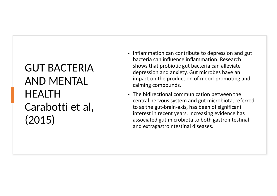GUT BACTERIA AND MENTAL HEALTH Carabotti et al, (2015)

- Inflammation can contribute to depression and gut bacteria can influence inflammation. Research shows that probiotic gut bacteria can alleviate depression and anxiety. Gut microbes have an impact on the production of mood-promoting and calming compounds.
- The bidirectional communication between the central nervous system and gut microbiota, referred to as the gut-brain-axis, has been of significant interest in recent years. Increasing evidence has associated gut microbiota to both gastrointestinal and extragastrointestinal diseases.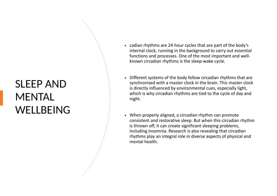### SLEEP AND **MENTAL WELLBEING**

- cadian rhythms are 24-hour cycles that are part of the body's internal clock, running in the background to carry out essential functions and processes. One of the most important and wellknown circadian rhythms is the sleep-wake cycle.
- Different systems of the body follow circadian rhythms that are synchronized with a master clock in the brain. This master clock is directly influenced by environmental cues, especially light, which is why circadian rhythms are tied to the cycle of day and night.
- When properly aligned, a circadian rhythm can promote consistent and restorative sleep. But when this circadian rhythm is thrown off, it can create significant sleeping problems, including insomnia. Research is also revealing that circadian rhythms play an integral role in diverse aspects of physical and mental health.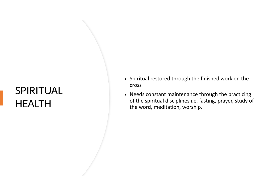#### SPIRITUAL HEALTH

- Spiritual restored through the finished work on the cross
- Needs constant maintenance through the practicing of the spiritual disciplines i.e. fasting, prayer, study of the word, meditation, worship.